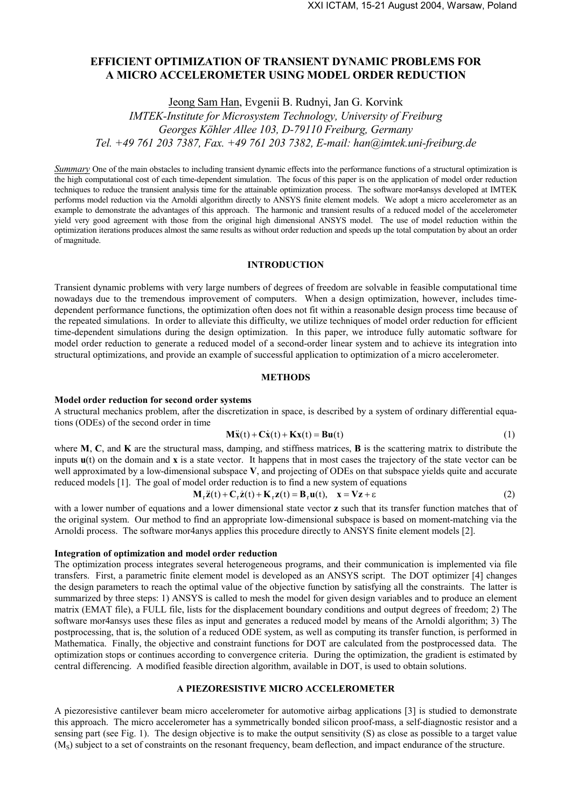# **EFFICIENT OPTIMIZATION OF TRANSIENT DYNAMIC PROBLEMS FOR A MICRO ACCELEROMETER USING MODEL ORDER REDUCTION**

Jeong Sam Han, Evgenii B. Rudnyi, Jan G. Korvink

*IMTEK-Institute for Microsystem Technology, University of Freiburg Georges Köhler Allee 103, D-79110 Freiburg, Germany Tel. +49 761 203 7387, Fax. +49 761 203 7382, E-mail: han@imtek.uni-freiburg.de* 

*Summary* One of the main obstacles to including transient dynamic effects into the performance functions of a structural optimization is the high computational cost of each time-dependent simulation. The focus of this paper is on the application of model order reduction techniques to reduce the transient analysis time for the attainable optimization process. The software mor4ansys developed at IMTEK performs model reduction via the Arnoldi algorithm directly to ANSYS finite element models. We adopt a micro accelerometer as an example to demonstrate the advantages of this approach. The harmonic and transient results of a reduced model of the accelerometer yield very good agreement with those from the original high dimensional ANSYS model. The use of model reduction within the optimization iterations produces almost the same results as without order reduction and speeds up the total computation by about an order of magnitude.

# **INTRODUCTION**

Transient dynamic problems with very large numbers of degrees of freedom are solvable in feasible computational time nowadays due to the tremendous improvement of computers. When a design optimization, however, includes timedependent performance functions, the optimization often does not fit within a reasonable design process time because of the repeated simulations. In order to alleviate this difficulty, we utilize techniques of model order reduction for efficient time-dependent simulations during the design optimization. In this paper, we introduce fully automatic software for model order reduction to generate a reduced model of a second-order linear system and to achieve its integration into structural optimizations, and provide an example of successful application to optimization of a micro accelerometer.

# **METHODS**

### **Model order reduction for second order systems**

A structural mechanics problem, after the discretization in space, is described by a system of ordinary differential equations (ODEs) of the second order in time

$$
\mathbf{M}\ddot{\mathbf{x}}(t) + \mathbf{C}\dot{\mathbf{x}}(t) + \mathbf{K}\mathbf{x}(t) = \mathbf{B}\mathbf{u}(t)
$$
 (1)

where **M**, **C**, and **K** are the structural mass, damping, and stiffness matrices, **B** is the scattering matrix to distribute the inputs **u**(t) on the domain and **x** is a state vector. It happens that in most cases the trajectory of the state vector can be well approximated by a low-dimensional subspace **V**, and projecting of ODEs on that subspace yields quite and accurate reduced models [1]. The goal of model order reduction is to find a new system of equations

$$
\mathbf{M}_{\mathbf{r}}\ddot{\mathbf{z}}(t) + \mathbf{C}_{\mathbf{r}}\dot{\mathbf{z}}(t) + \mathbf{K}_{\mathbf{r}}\mathbf{z}(t) = \mathbf{B}_{\mathbf{r}}\mathbf{u}(t), \quad \mathbf{x} = \mathbf{V}\mathbf{z} + \varepsilon
$$
 (2)

with a lower number of equations and a lower dimensional state vector **z** such that its transfer function matches that of the original system. Our method to find an appropriate low-dimensional subspace is based on moment-matching via the Arnoldi process. The software mor4anys applies this procedure directly to ANSYS finite element models [2].

### **Integration of optimization and model order reduction**

The optimization process integrates several heterogeneous programs, and their communication is implemented via file transfers. First, a parametric finite element model is developed as an ANSYS script. The DOT optimizer [4] changes the design parameters to reach the optimal value of the objective function by satisfying all the constraints. The latter is summarized by three steps: 1) ANSYS is called to mesh the model for given design variables and to produce an element matrix (EMAT file), a FULL file, lists for the displacement boundary conditions and output degrees of freedom; 2) The software mor4ansys uses these files as input and generates a reduced model by means of the Arnoldi algorithm; 3) The postprocessing, that is, the solution of a reduced ODE system, as well as computing its transfer function, is performed in Mathematica. Finally, the objective and constraint functions for DOT are calculated from the postprocessed data. The optimization stops or continues according to convergence criteria. During the optimization, the gradient is estimated by central differencing. A modified feasible direction algorithm, available in DOT, is used to obtain solutions.

# **A PIEZORESISTIVE MICRO ACCELEROMETER**

A piezoresistive cantilever beam micro accelerometer for automotive airbag applications [3] is studied to demonstrate this approach. The micro accelerometer has a symmetrically bonded silicon proof-mass, a self-diagnostic resistor and a sensing part (see Fig. 1). The design objective is to make the output sensitivity (S) as close as possible to a target value (M<sub>S</sub>) subject to a set of constraints on the resonant frequency, beam deflection, and impact endurance of the structure.